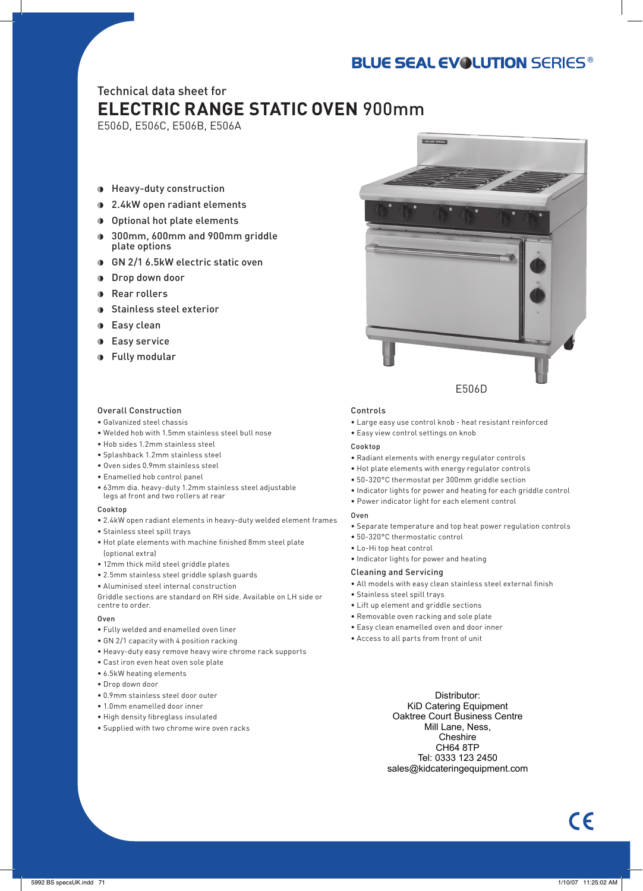# **BLUE SEAL EVOLUTION SERIES®**

# Technical data sheet for **ELECTRIC RANGE STATIC OVEN** 900mm

E506D, E506C, E506B, E506A

- Heavy-duty construction
- **1** 2.4kW open radiant elements
- Optional hot plate elements
- **300mm, 600mm and 900mm griddle** plate options
- GN 2/1 6.5kW electric static oven
- **Drop down door**
- **Rear rollers**
- **Stainless steel exterior**
- **D** Easy clean
- **Easy service**
- Fully modular

## Overall Construction

- Galvanized steel chassis
- Welded hob with 1.5mm stainless steel bull nose
- Hob sides 1.2mm stainless steel
- Splashback 1.2mm stainless steel
- Oven sides 0.9mm stainless steel
- Enamelled hob control panel
- 63mm dia. heavy-duty 1.2mm stainless steel adjustable legs at front and two rollers at rear

## Cookton

- 2.4kW open radiant elements in heavy-duty welded element frames
- Stainless steel spill trays
- Hot plate elements with machine finished 8mm steel plate (optional extra)
- 12mm thick mild steel griddle plates
- 2.5mm stainless steel griddle splash guards
- Aluminised steel internal construction

Griddle sections are standard on RH side. Available on LH side or centre to order.

- Oven
- Fully welded and enamelled oven liner
- GN 2/1 capacity with 4 position racking
- Heavy-duty easy remove heavy wire chrome rack supports
- Cast iron even heat oven sole plate
- 6.5kW heating elements
- Drop down door
- 0.9mm stainless steel door outer
- 1.0mm enamelled door inner
- High density fibreglass insulated
- Supplied with two chrome wire oven racks



## Controls

- Large easy use control knob heat resistant reinforced
- Easy view control settings on knob

## Cookton

- Radiant elements with energy regulator controls
- Hot plate elements with energy regulator controls
- 50-320°C thermostat per 300mm griddle section
- Indicator lights for power and heating for each griddle control
- Power indicator light for each element control

## Oven

- Separate temperature and top heat power regulation controls
- 50-320°C thermostatic control
- Lo-Hi top heat control
- Indicator lights for power and heating

## Cleaning and Servicing

- All models with easy clean stainless steel external finish
- Stainless steel spill trays
- Lift up element and griddle sections
- Removable oven racking and sole plate
- Easy clean enamelled oven and door inner
- Access to all parts from front of unit

Distributor: KiD Catering Equipment Oaktree Court Business Centre Mill Lane, Ness, Cheshire CH64 8TP Tel: 0333 123 2450 sales@kidcateringequipment.com